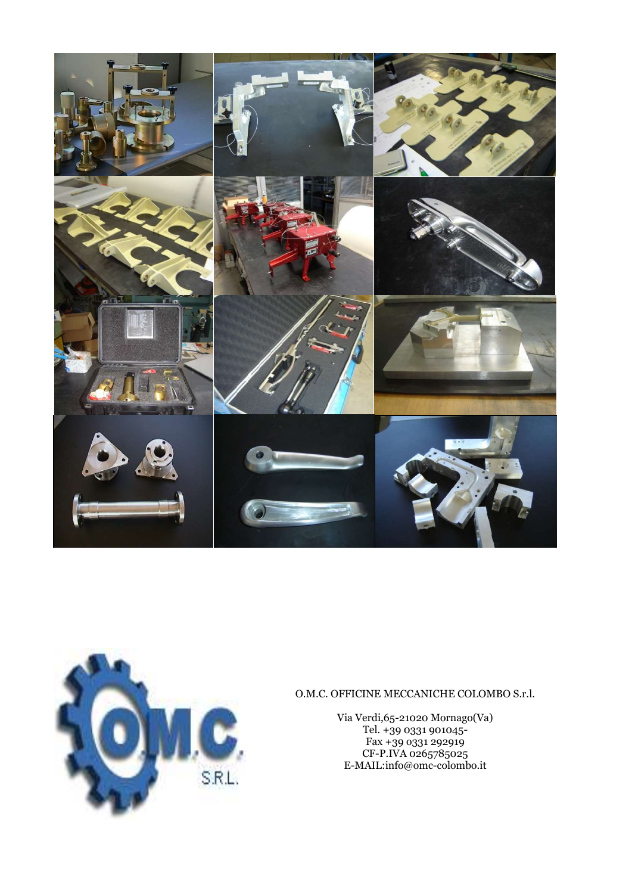



### O.M.C. OFFICINE MECCANICHE COLOMBO S.r.l.

Via Verdi,65-21020 Mornago(Va) Tel. +39 0331 901045- Fax +39 o331 292919 CF-P.IVA 0265785025 E-MAIL:info@omc-colombo.it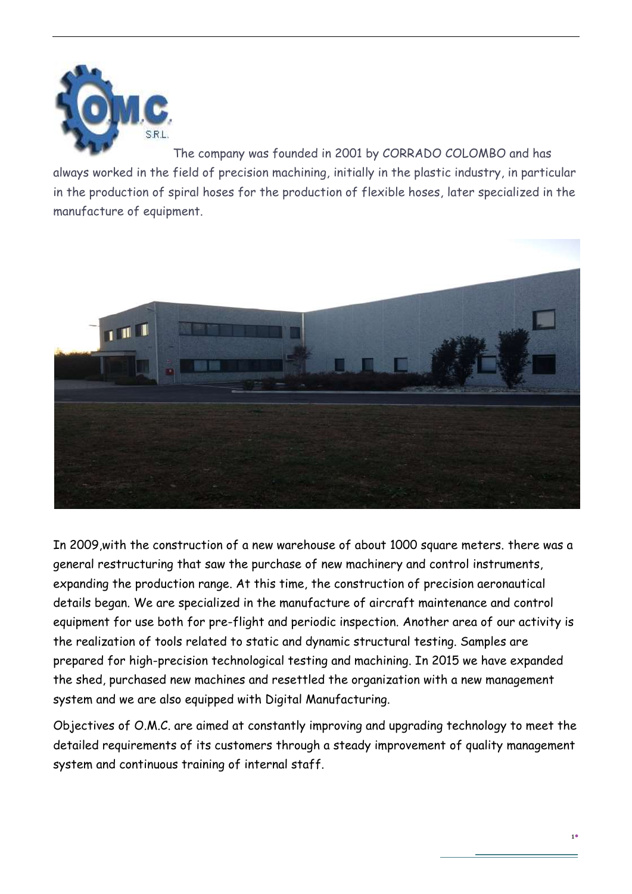

The company was founded in 2001 by CORRADO COLOMBO and has always worked in the field of precision machining, initially in the plastic industry, in particular in the production of spiral hoses for the production of flexible hoses, later specialized in the manufacture of equipment.



In 2009,with the construction of a new warehouse of about 1000 square meters. there was a general restructuring that saw the purchase of new machinery and control instruments, expanding the production range. At this time, the construction of precision aeronautical details began. We are specialized in the manufacture of aircraft maintenance and control equipment for use both for pre-flight and periodic inspection. Another area of our activity is the realization of tools related to static and dynamic structural testing. Samples are prepared for high-precision technological testing and machining. In 2015 we have expanded

the shed, purchased new machines and resettled the organization with a new management system and we are also equipped with Digital Manufacturing.

Objectives of O.M.C. are aimed at constantly improving and upgrading technology to meet the detailed requirements of its customers through a steady improvement of quality management system and continuous training of internal staff.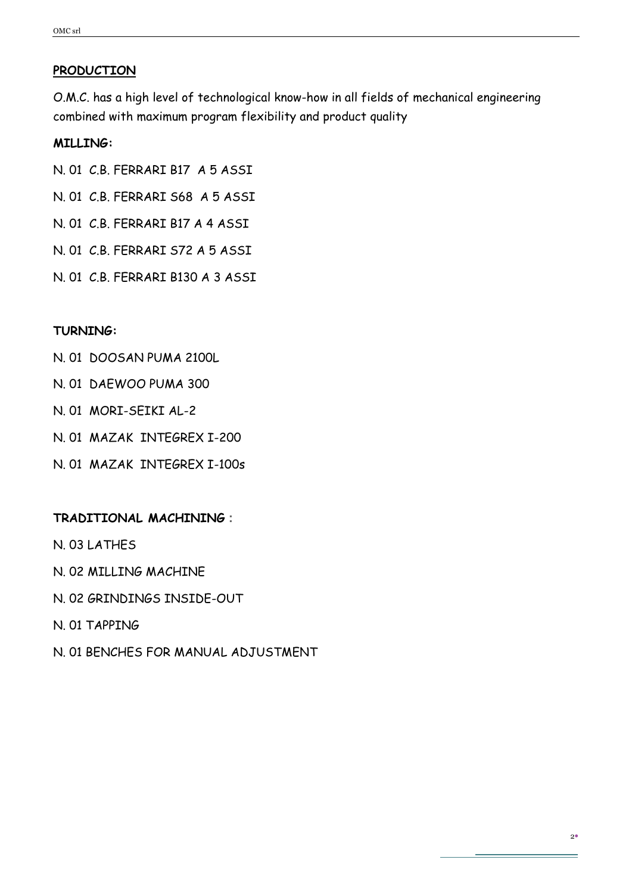### **PRODUCTION**

O.M.C. has a high level of technological know-how in all fields of mechanical engineering combined with maximum program flexibility and product quality

#### **MILLING:**

N. 01 C.B. FERRARI B17 A 5 ASSI

N. 01 C.B. FERRARI S68 A 5 ASSI

N. 01 C.B. FERRARI B17 A 4 ASSI

N. 01 C.B. FERRARI S72 A 5 ASSI

N. 01 C.B. FERRARI B130 A 3 ASSI

### **TURNING:**

N. 01 DOOSAN PUMA 2100L

N. 01 DAEWOO PUMA 300

N. 01 MORI-SEIKI AL-2

N. 01 MAZAK INTEGREX I-200

N. 01 MAZAK INTEGREX I-100s

# **TRADITIONAL MACHINING :**

N. 03 LATHES

N. 02 MILLING MACHINE

N. 02 GRINDINGS INSIDE-OUT

N. 01 TAPPING

N. 01 BENCHES FOR MANUAL ADJUSTMENT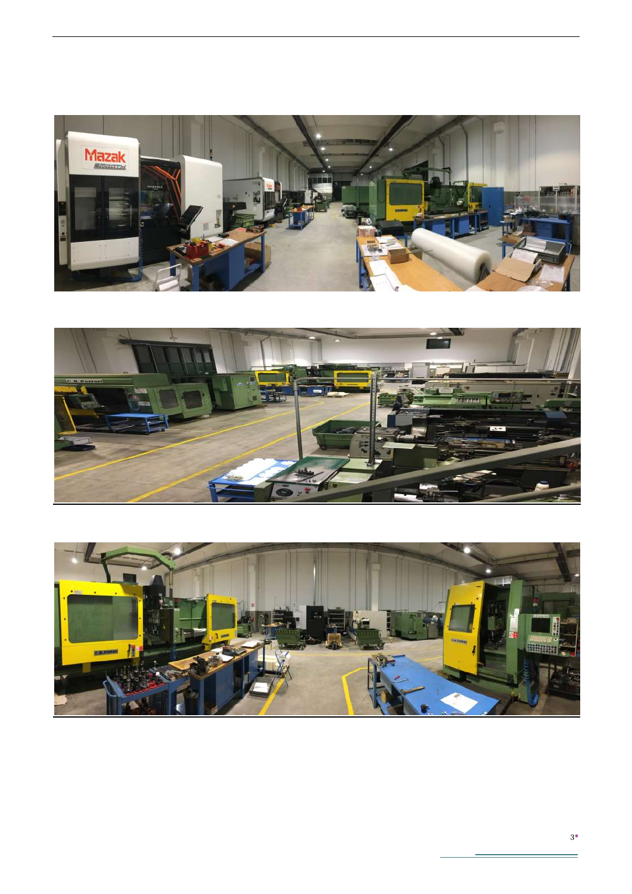



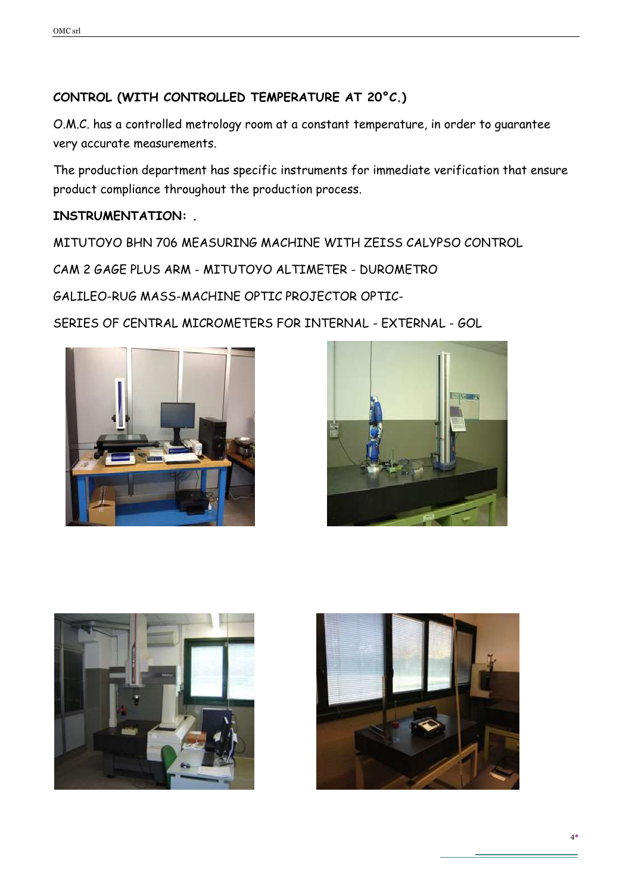# **CONTROL (WITH CONTROLLED TEMPERATURE AT 20°C.)**

O.M.C. has a controlled metrology room at a constant temperature, in order to guarantee very accurate measurements.

The production department has specific instruments for immediate verification that ensure product compliance throughout the production process.

### **INSTRUMENTATION: .**

MITUTOYO BHN 706 MEASURING MACHINE WITH ZEISS CALYPSO CONTROL

CAM 2 GAGE PLUS ARM - MITUTOYO ALTIMETER - DUROMETRO

GALILEO-RUG MASS-MACHINE OPTIC PROJECTOR OPTIC-

SERIES OF CENTRAL MICROMETERS FOR INTERNAL - EXTERNAL - GOL